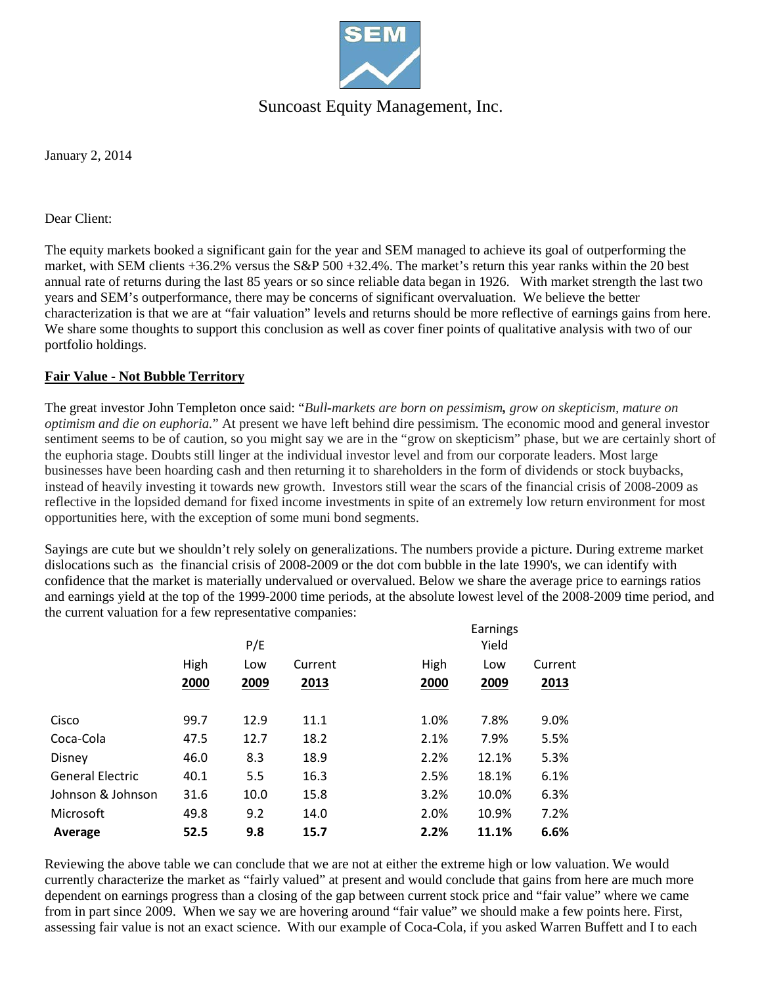

# Suncoast Equity Management, Inc.

January 2, 2014

#### Dear Client:

The equity markets booked a significant gain for the year and SEM managed to achieve its goal of outperforming the market, with SEM clients +36.2% versus the S&P 500 +32.4%. The market's return this year ranks within the 20 best annual rate of returns during the last 85 years or so since reliable data began in 1926. With market strength the last two years and SEM's outperformance, there may be concerns of significant overvaluation. We believe the better characterization is that we are at "fair valuation" levels and returns should be more reflective of earnings gains from here. We share some thoughts to support this conclusion as well as cover finer points of qualitative analysis with two of our portfolio holdings.

## **Fair Value - Not Bubble Territory**

The great investor John Templeton once said: "*Bull-markets are born on pessimism, grow on skepticism, mature on optimism and die on euphoria.*" At present we have left behind dire pessimism. The economic mood and general investor sentiment seems to be of caution, so you might say we are in the "grow on skepticism" phase, but we are certainly short of the euphoria stage. Doubts still linger at the individual investor level and from our corporate leaders. Most large businesses have been hoarding cash and then returning it to shareholders in the form of dividends or stock buybacks, instead of heavily investing it towards new growth. Investors still wear the scars of the financial crisis of 2008-2009 as reflective in the lopsided demand for fixed income investments in spite of an extremely low return environment for most opportunities here, with the exception of some muni bond segments.

Sayings are cute but we shouldn't rely solely on generalizations. The numbers provide a picture. During extreme market dislocations such as the financial crisis of 2008-2009 or the dot com bubble in the late 1990's, we can identify with confidence that the market is materially undervalued or overvalued. Below we share the average price to earnings ratios and earnings yield at the top of the 1999-2000 time periods, at the absolute lowest level of the 2008-2009 time period, and the current valuation for a few representative companies:

|                         |              | P/E         |                 |              | Earnings<br>Yield |                 |
|-------------------------|--------------|-------------|-----------------|--------------|-------------------|-----------------|
|                         | High<br>2000 | Low<br>2009 | Current<br>2013 | High<br>2000 | Low<br>2009       | Current<br>2013 |
|                         |              |             |                 |              |                   |                 |
| Cisco                   | 99.7         | 12.9        | 11.1            | 1.0%         | 7.8%              | 9.0%            |
| Coca-Cola               | 47.5         | 12.7        | 18.2            | 2.1%         | 7.9%              | 5.5%            |
| Disney                  | 46.0         | 8.3         | 18.9            | 2.2%         | 12.1%             | 5.3%            |
| <b>General Electric</b> | 40.1         | 5.5         | 16.3            | 2.5%         | 18.1%             | 6.1%            |
| Johnson & Johnson       | 31.6         | 10.0        | 15.8            | 3.2%         | 10.0%             | 6.3%            |
| Microsoft               | 49.8         | 9.2         | 14.0            | 2.0%         | 10.9%             | 7.2%            |
| Average                 | 52.5         | 9.8         | 15.7            | 2.2%         | 11.1%             | 6.6%            |

Reviewing the above table we can conclude that we are not at either the extreme high or low valuation. We would currently characterize the market as "fairly valued" at present and would conclude that gains from here are much more dependent on earnings progress than a closing of the gap between current stock price and "fair value" where we came from in part since 2009. When we say we are hovering around "fair value" we should make a few points here. First, assessing fair value is not an exact science. With our example of Coca-Cola, if you asked Warren Buffett and I to each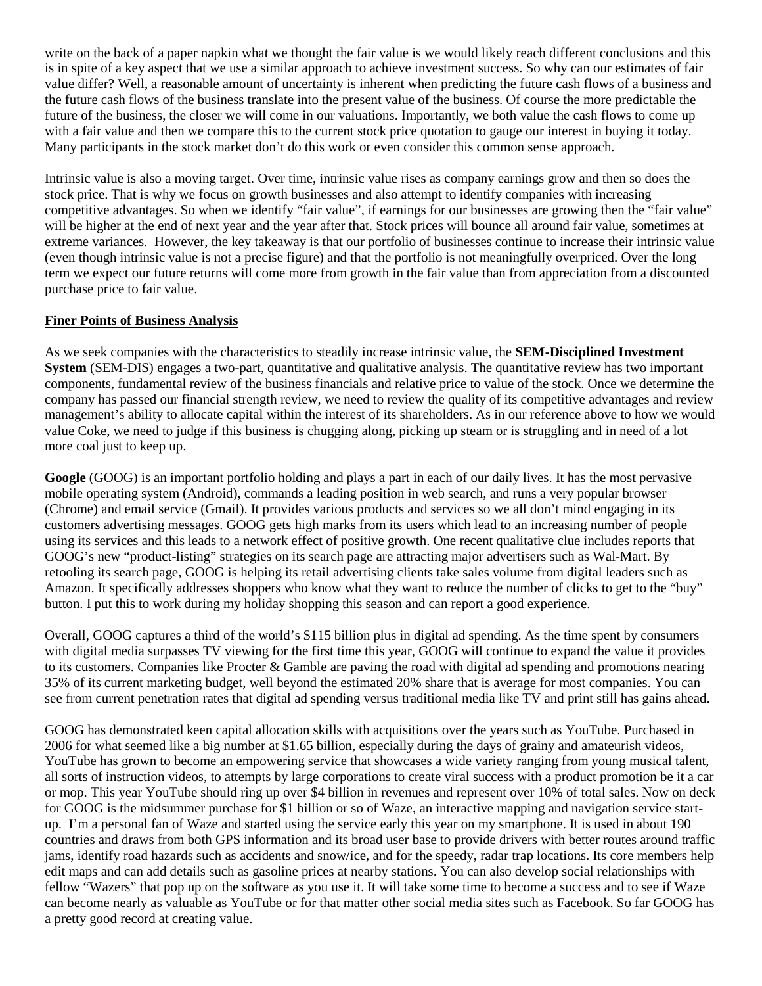write on the back of a paper napkin what we thought the fair value is we would likely reach different conclusions and this is in spite of a key aspect that we use a similar approach to achieve investment success. So why can our estimates of fair value differ? Well, a reasonable amount of uncertainty is inherent when predicting the future cash flows of a business and the future cash flows of the business translate into the present value of the business. Of course the more predictable the future of the business, the closer we will come in our valuations. Importantly, we both value the cash flows to come up with a fair value and then we compare this to the current stock price quotation to gauge our interest in buying it today. Many participants in the stock market don't do this work or even consider this common sense approach.

Intrinsic value is also a moving target. Over time, intrinsic value rises as company earnings grow and then so does the stock price. That is why we focus on growth businesses and also attempt to identify companies with increasing competitive advantages. So when we identify "fair value", if earnings for our businesses are growing then the "fair value" will be higher at the end of next year and the year after that. Stock prices will bounce all around fair value, sometimes at extreme variances. However, the key takeaway is that our portfolio of businesses continue to increase their intrinsic value (even though intrinsic value is not a precise figure) and that the portfolio is not meaningfully overpriced. Over the long term we expect our future returns will come more from growth in the fair value than from appreciation from a discounted purchase price to fair value.

#### **Finer Points of Business Analysis**

As we seek companies with the characteristics to steadily increase intrinsic value, the **SEM-Disciplined Investment System** (SEM-DIS) engages a two-part, quantitative and qualitative analysis. The quantitative review has two important components, fundamental review of the business financials and relative price to value of the stock. Once we determine the company has passed our financial strength review, we need to review the quality of its competitive advantages and review management's ability to allocate capital within the interest of its shareholders. As in our reference above to how we would value Coke, we need to judge if this business is chugging along, picking up steam or is struggling and in need of a lot more coal just to keep up.

**Google** (GOOG) is an important portfolio holding and plays a part in each of our daily lives. It has the most pervasive mobile operating system (Android), commands a leading position in web search, and runs a very popular browser (Chrome) and email service (Gmail). It provides various products and services so we all don't mind engaging in its customers advertising messages. GOOG gets high marks from its users which lead to an increasing number of people using its services and this leads to a network effect of positive growth. One recent qualitative clue includes reports that GOOG's new "product-listing" strategies on its search page are attracting major advertisers such as Wal-Mart. By retooling its search page, GOOG is helping its retail advertising clients take sales volume from digital leaders such as Amazon. It specifically addresses shoppers who know what they want to reduce the number of clicks to get to the "buy" button. I put this to work during my holiday shopping this season and can report a good experience.

Overall, GOOG captures a third of the world's \$115 billion plus in digital ad spending. As the time spent by consumers with digital media surpasses TV viewing for the first time this year, GOOG will continue to expand the value it provides to its customers. Companies like Procter & Gamble are paving the road with digital ad spending and promotions nearing 35% of its current marketing budget, well beyond the estimated 20% share that is average for most companies. You can see from current penetration rates that digital ad spending versus traditional media like TV and print still has gains ahead.

GOOG has demonstrated keen capital allocation skills with acquisitions over the years such as YouTube. Purchased in 2006 for what seemed like a big number at \$1.65 billion, especially during the days of grainy and amateurish videos, YouTube has grown to become an empowering service that showcases a wide variety ranging from young musical talent, all sorts of instruction videos, to attempts by large corporations to create viral success with a product promotion be it a car or mop. This year YouTube should ring up over \$4 billion in revenues and represent over 10% of total sales. Now on deck for GOOG is the midsummer purchase for \$1 billion or so of Waze, an interactive mapping and navigation service startup. I'm a personal fan of Waze and started using the service early this year on my smartphone. It is used in about 190 countries and draws from both GPS information and its broad user base to provide drivers with better routes around traffic jams, identify road hazards such as accidents and snow/ice, and for the speedy, radar trap locations. Its core members help edit maps and can add details such as gasoline prices at nearby stations. You can also develop social relationships with fellow "Wazers" that pop up on the software as you use it. It will take some time to become a success and to see if Waze can become nearly as valuable as YouTube or for that matter other social media sites such as Facebook. So far GOOG has a pretty good record at creating value.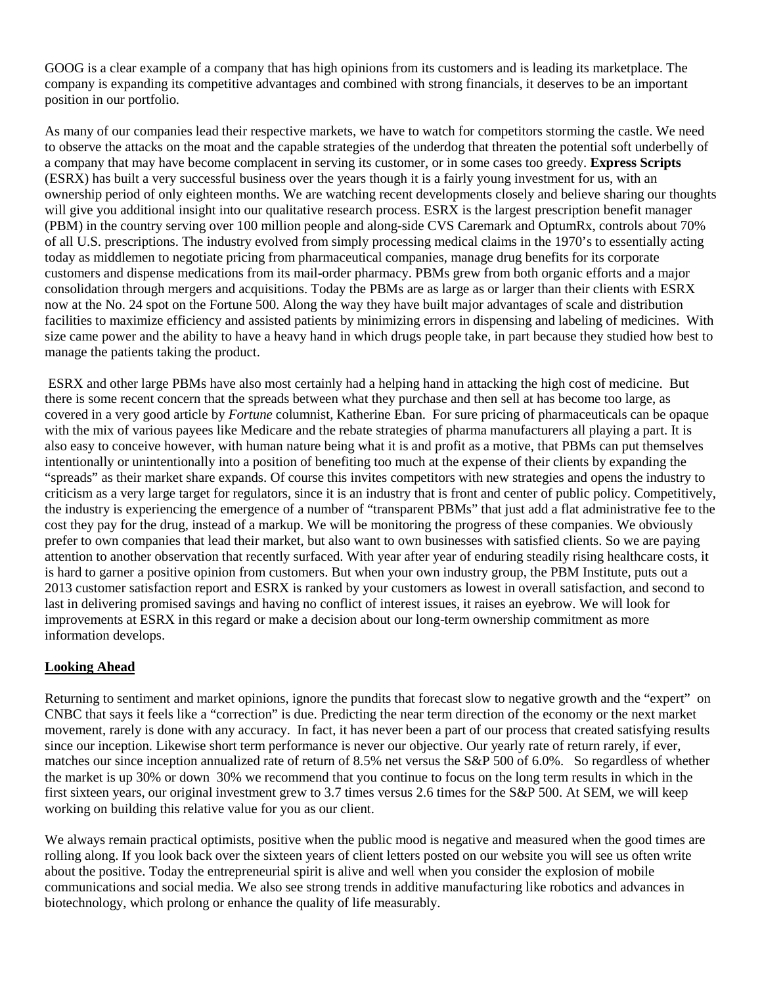GOOG is a clear example of a company that has high opinions from its customers and is leading its marketplace. The company is expanding its competitive advantages and combined with strong financials, it deserves to be an important position in our portfolio.

As many of our companies lead their respective markets, we have to watch for competitors storming the castle. We need to observe the attacks on the moat and the capable strategies of the underdog that threaten the potential soft underbelly of a company that may have become complacent in serving its customer, or in some cases too greedy. **Express Scripts** (ESRX) has built a very successful business over the years though it is a fairly young investment for us, with an ownership period of only eighteen months. We are watching recent developments closely and believe sharing our thoughts will give you additional insight into our qualitative research process. ESRX is the largest prescription benefit manager (PBM) in the country serving over 100 million people and along-side CVS Caremark and OptumRx, controls about 70% of all U.S. prescriptions. The industry evolved from simply processing medical claims in the 1970's to essentially acting today as middlemen to negotiate pricing from pharmaceutical companies, manage drug benefits for its corporate customers and dispense medications from its mail-order pharmacy. PBMs grew from both organic efforts and a major consolidation through mergers and acquisitions. Today the PBMs are as large as or larger than their clients with ESRX now at the No. 24 spot on the Fortune 500. Along the way they have built major advantages of scale and distribution facilities to maximize efficiency and assisted patients by minimizing errors in dispensing and labeling of medicines. With size came power and the ability to have a heavy hand in which drugs people take, in part because they studied how best to manage the patients taking the product.

ESRX and other large PBMs have also most certainly had a helping hand in attacking the high cost of medicine. But there is some recent concern that the spreads between what they purchase and then sell at has become too large, as covered in a very good article by *Fortune* columnist, Katherine Eban. For sure pricing of pharmaceuticals can be opaque with the mix of various payees like Medicare and the rebate strategies of pharma manufacturers all playing a part. It is also easy to conceive however, with human nature being what it is and profit as a motive, that PBMs can put themselves intentionally or unintentionally into a position of benefiting too much at the expense of their clients by expanding the "spreads" as their market share expands. Of course this invites competitors with new strategies and opens the industry to criticism as a very large target for regulators, since it is an industry that is front and center of public policy. Competitively, the industry is experiencing the emergence of a number of "transparent PBMs" that just add a flat administrative fee to the cost they pay for the drug, instead of a markup. We will be monitoring the progress of these companies. We obviously prefer to own companies that lead their market, but also want to own businesses with satisfied clients. So we are paying attention to another observation that recently surfaced. With year after year of enduring steadily rising healthcare costs, it is hard to garner a positive opinion from customers. But when your own industry group, the PBM Institute, puts out a 2013 customer satisfaction report and ESRX is ranked by your customers as lowest in overall satisfaction, and second to last in delivering promised savings and having no conflict of interest issues, it raises an eyebrow. We will look for improvements at ESRX in this regard or make a decision about our long-term ownership commitment as more information develops.

## **Looking Ahead**

Returning to sentiment and market opinions, ignore the pundits that forecast slow to negative growth and the "expert" on CNBC that says it feels like a "correction" is due. Predicting the near term direction of the economy or the next market movement, rarely is done with any accuracy. In fact, it has never been a part of our process that created satisfying results since our inception. Likewise short term performance is never our objective. Our yearly rate of return rarely, if ever, matches our since inception annualized rate of return of 8.5% net versus the S&P 500 of 6.0%. So regardless of whether the market is up 30% or down 30% we recommend that you continue to focus on the long term results in which in the first sixteen years, our original investment grew to 3.7 times versus 2.6 times for the S&P 500. At SEM, we will keep working on building this relative value for you as our client.

We always remain practical optimists, positive when the public mood is negative and measured when the good times are rolling along. If you look back over the sixteen years of client letters posted on our website you will see us often write about the positive. Today the entrepreneurial spirit is alive and well when you consider the explosion of mobile communications and social media. We also see strong trends in additive manufacturing like robotics and advances in biotechnology, which prolong or enhance the quality of life measurably.